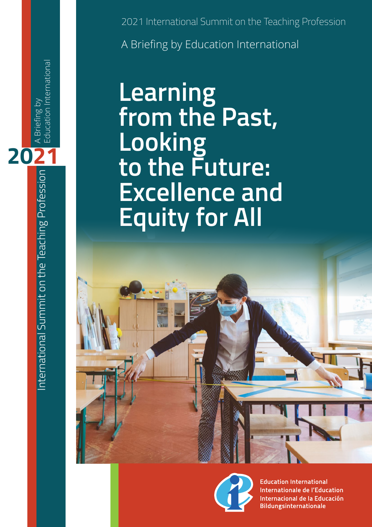2021 International Summit on the Teaching Profession A Briefing by Education International

# **Learning from the Past, Looking to the Future: Excellence and Equity for All**



**Education International Internationale de l'Education** Internacional de la Educación **Bildungsinternationale** 

International Summit on the Teaching Profession  $\bigcup_{n=1}^{\infty}$  A Briefing by International Summit on the Teaching Profession

Education International

A Briefing by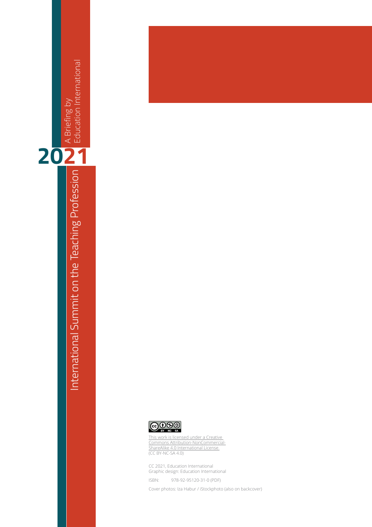





[This work is licensed under a Creative](https://creativecommons.org/licenses/by-nc/4.0/)  [Commons Attribution-NonCommercial-](https://creativecommons.org/licenses/by-nc/4.0/)[ShareAlike 4.0 International License.](https://creativecommons.org/licenses/by-nc/4.0/) (CC BY-NC-SA 4.0)

CC 2021, Education International Graphic design: Education International

ISBN: 978-92-95120-31-0 (PDF)

Cover photos: Iza Habur / iStockphoto (also on backcover)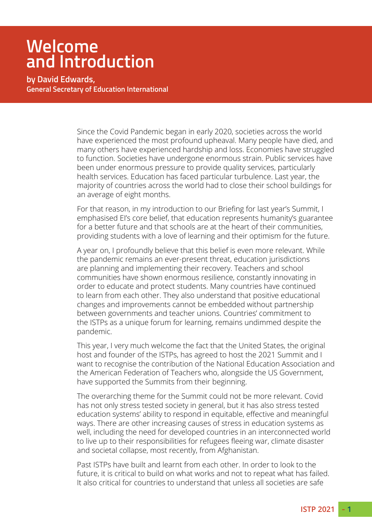### **Welcome and Introduction**

**by David Edwards, General Secretary of Education International**

> Since the Covid Pandemic began in early 2020, societies across the world have experienced the most profound upheaval. Many people have died, and many others have experienced hardship and loss. Economies have struggled to function. Societies have undergone enormous strain. Public services have been under enormous pressure to provide quality services, particularly health services. Education has faced particular turbulence. Last year, the majority of countries across the world had to close their school buildings for an average of eight months.

> For that reason, in my introduction to our Briefing for last year's Summit, I emphasised EI's core belief, that education represents humanity's guarantee for a better future and that schools are at the heart of their communities, providing students with a love of learning and their optimism for the future.

A year on, I profoundly believe that this belief is even more relevant. While the pandemic remains an ever-present threat, education jurisdictions are planning and implementing their recovery. Teachers and school communities have shown enormous resilience, constantly innovating in order to educate and protect students. Many countries have continued to learn from each other. They also understand that positive educational changes and improvements cannot be embedded without partnership between governments and teacher unions. Countries' commitment to the ISTPs as a unique forum for learning, remains undimmed despite the pandemic.

This year, I very much welcome the fact that the United States, the original host and founder of the ISTPs, has agreed to host the 2021 Summit and I want to recognise the contribution of the National Education Association and the American Federation of Teachers who, alongside the US Government, have supported the Summits from their beginning.

The overarching theme for the Summit could not be more relevant. Covid has not only stress tested society in general, but it has also stress tested education systems' ability to respond in equitable, effective and meaningful ways. There are other increasing causes of stress in education systems as well, including the need for developed countries in an interconnected world to live up to their responsibilities for refugees fleeing war, climate disaster and societal collapse, most recently, from Afghanistan.

Past ISTPs have built and learnt from each other. In order to look to the future, it is critical to build on what works and not to repeat what has failed. It also critical for countries to understand that unless all societies are safe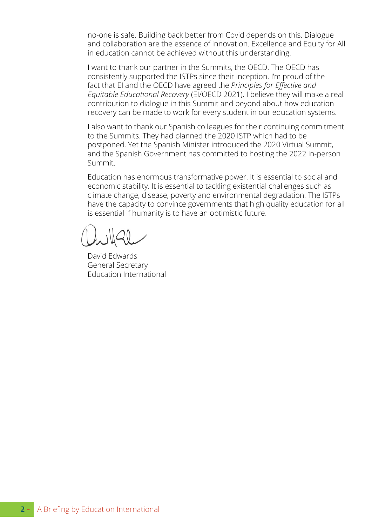no-one is safe. Building back better from Covid depends on this. Dialogue and collaboration are the essence of innovation. Excellence and Equity for All in education cannot be achieved without this understanding.

I want to thank our partner in the Summits, the OECD. The OECD has consistently supported the ISTPs since their inception. I'm proud of the fact that EI and the OECD have agreed the *Principles for Effective and Equitable Educational Recovery* (EI/OECD 2021). I believe they will make a real contribution to dialogue in this Summit and beyond about how education recovery can be made to work for every student in our education systems.

I also want to thank our Spanish colleagues for their continuing commitment to the Summits. They had planned the 2020 ISTP which had to be postponed. Yet the Spanish Minister introduced the 2020 Virtual Summit, and the Spanish Government has committed to hosting the 2022 in-person Summit.

Education has enormous transformative power. It is essential to social and economic stability. It is essential to tackling existential challenges such as climate change, disease, poverty and environmental degradation. The ISTPs have the capacity to convince governments that high quality education for all is essential if humanity is to have an optimistic future.

David Edwards General Secretary Education International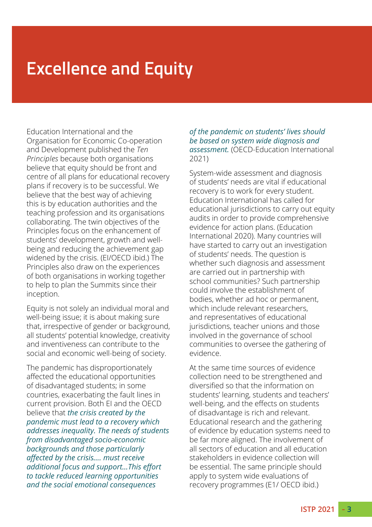## **Excellence and Equity**

Education International and the Organisation for Economic Co-operation and Development published the *Ten Principles* because both organisations believe that equity should be front and centre of all plans for educational recovery plans if recovery is to be successful. We believe that the best way of achieving this is by education authorities and the teaching profession and its organisations collaborating. The twin objectives of the Principles focus on the enhancement of students' development, growth and wellbeing and reducing the achievement gap widened by the crisis. (EI/OECD ibid.) The Principles also draw on the experiences of both organisations in working together to help to plan the Summits since their inception.

Equity is not solely an individual moral and well-being issue; it is about making sure that, irrespective of gender or background, all students' potential knowledge, creativity and inventiveness can contribute to the social and economic well-being of society.

The pandemic has disproportionately affected the educational opportunities of disadvantaged students; in some countries, exacerbating the fault lines in current provision. Both EI and the OECD believe that *the crisis created by the pandemic must lead to a recovery which addresses inequality. The needs of students from disadvantaged socio-economic backgrounds and those particularly affected by the crisis…. must receive additional focus and support…This effort to tackle reduced learning opportunities and the social emotional consequences* 

#### *of the pandemic on students' lives should be based on system wide diagnosis and assessment.* (OECD-Education International 2021)

System-wide assessment and diagnosis of students' needs are vital if educational recovery is to work for every student. Education International has called for educational jurisdictions to carry out equity audits in order to provide comprehensive evidence for action plans. (Education International 2020). Many countries will have started to carry out an investigation of students' needs. The question is whether such diagnosis and assessment are carried out in partnership with school communities? Such partnership could involve the establishment of bodies, whether ad hoc or permanent, which include relevant researchers, and representatives of educational jurisdictions, teacher unions and those involved in the governance of school communities to oversee the gathering of evidence.

At the same time sources of evidence collection need to be strengthened and diversified so that the information on students' learning, students and teachers' well-being, and the effects on students of disadvantage is rich and relevant. Educational research and the gathering of evidence by education systems need to be far more aligned. The involvement of all sectors of education and all education stakeholders in evidence collection will be essential. The same principle should apply to system wide evaluations of recovery programmes (E1/ OECD ibid.)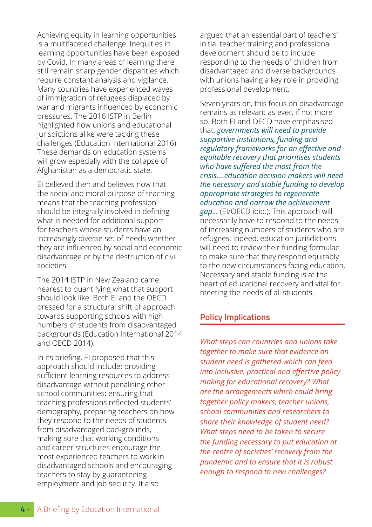Achieving equity in learning opportunities is a multifaceted challenge. Inequities in learning opportunities have been exposed by Covid. In many areas of learning there still remain sharp gender disparities which require constant analysis and vigilance. Many countries have experienced waves of immigration of refugees displaced by war and migrants influenced by economic pressures. The 2016 ISTP in Berlin highlighted how unions and educational jurisdictions alike were tacking these challenges (Education International 2016). These demands on education systems will grow especially with the collapse of Afghanistan as a democratic state.

EI believed then and believes now that the social and moral purpose of teaching means that the teaching profession should be integrally involved in defining what is needed for additional support for teachers whose students have an increasingly diverse set of needs whether they are influenced by social and economic disadvantage or by the destruction of civil societies.

The 2014 ISTP in New Zealand came nearest to quantifying what that support should look like. Both EI and the OECD pressed for a structural shift of approach towards supporting schools with high numbers of students from disadvantaged backgrounds (Education International 2014 and OECD 2014).

In its briefing, EI proposed that this approach should include: providing sufficient learning resources to address disadvantage without penalising other school communities; ensuring that teaching professions reflected students' demography, preparing teachers on how they respond to the needs of students from disadvantaged backgrounds, making sure that working conditions and career structures encourage the most experienced teachers to work in disadvantaged schools and encouraging teachers to stay by guaranteeing employment and job security. It also

argued that an essential part of teachers' initial teacher training and professional development should be to include responding to the needs of children from disadvantaged and diverse backgrounds with unions having a key role in providing professional development.

Seven years on, this focus on disadvantage remains as relevant as ever, if not more so. Both EI and OECD have emphasised that, *governments will need to provide supportive institutions, funding and regulatory frameworks for an effective and equitable recovery that prioritises students who have suffered the most from the crisis….education decision makers will need the necessary and stable funding to develop appropriate strategies to regenerate education and narrow the achievement gap…* (EI/OECD ibid.). This approach will necessarily have to respond to the needs of increasing numbers of students who are refugees. Indeed, education jurisdictions will need to review their funding formulae to make sure that they respond equitably to the new circumstances facing education. Necessary and stable funding is at the heart of educational recovery and vital for

### **Policy Implications**

meeting the needs of all students.

*What steps can countries and unions take together to make sure that evidence on student need is gathered which can feed into inclusive, practical and effective policy making for educational recovery? What are the arrangements which could bring together policy makers, teacher unions, school communities and researchers to share their knowledge of student need? What steps need to be taken to secure the funding necessary to put education at the centre of societies' recovery from the pandemic and to ensure that it is robust enough to respond to new challenges?*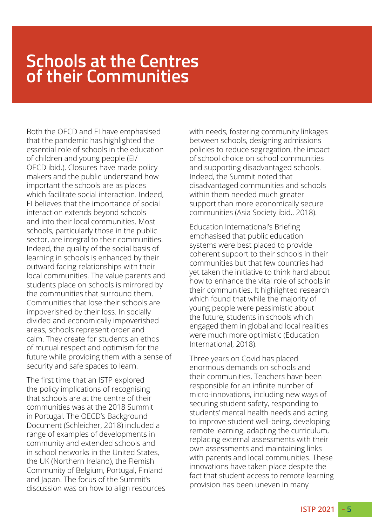### **Schools at the Centres of their Communities**

Both the OECD and EI have emphasised that the pandemic has highlighted the essential role of schools in the education of children and young people (EI/ OECD ibid.). Closures have made policy makers and the public understand how important the schools are as places which facilitate social interaction. Indeed, EI believes that the importance of social interaction extends beyond schools and into their local communities. Most schools, particularly those in the public sector, are integral to their communities. Indeed, the quality of the social basis of learning in schools is enhanced by their outward facing relationships with their local communities. The value parents and students place on schools is mirrored by the communities that surround them. Communities that lose their schools are impoverished by their loss. In socially divided and economically impoverished areas, schools represent order and calm. They create for students an ethos of mutual respect and optimism for the future while providing them with a sense of security and safe spaces to learn.

The first time that an ISTP explored the policy implications of recognising that schools are at the centre of their communities was at the 2018 Summit in Portugal. The OECD's Background Document (Schleicher, 2018) included a range of examples of developments in community and extended schools and in school networks in the United States, the UK (Northern Ireland), the Flemish Community of Belgium, Portugal, Finland and Japan. The focus of the Summit's discussion was on how to align resources with needs, fostering community linkages between schools, designing admissions policies to reduce segregation, the impact of school choice on school communities and supporting disadvantaged schools. Indeed, the Summit noted that disadvantaged communities and schools within them needed much greater support than more economically secure communities (Asia Society ibid., 2018).

Education International's Briefing emphasised that public education systems were best placed to provide coherent support to their schools in their communities but that few countries had yet taken the initiative to think hard about how to enhance the vital role of schools in their communities. It highlighted research which found that while the majority of young people were pessimistic about the future, students in schools which engaged them in global and local realities were much more optimistic (Education International, 2018).

Three years on Covid has placed enormous demands on schools and their communities. Teachers have been responsible for an infinite number of micro-innovations, including new ways of securing student safety, responding to students' mental health needs and acting to improve student well-being, developing remote learning, adapting the curriculum, replacing external assessments with their own assessments and maintaining links with parents and local communities. These innovations have taken place despite the fact that student access to remote learning provision has been uneven in many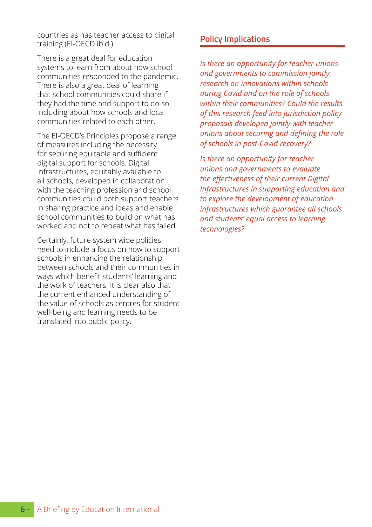countries as has teacher access to digital training (EI-OECD ibid.).

There is a great deal for education systems to learn from about how school communities responded to the pandemic. There is also a great deal of learning that school communities could share if they had the time and support to do so including about how schools and local communities related to each other.

The EI-OECD's Principles propose a range of measures including the necessity for securing equitable and sufficient digital support for schools. Digital infrastructures, equitably available to all schools, developed in collaboration with the teaching profession and school communities could both support teachers in sharing practice and ideas and enable school communities to build on what has worked and not to repeat what has failed.

Certainly, future system wide policies need to include a focus on how to support schools in enhancing the relationship between schools and their communities in ways which benefit students' learning and the work of teachers. It is clear also that the current enhanced understanding of the value of schools as centres for student well-being and learning needs to be translated into public policy.

### **Policy Implications**

*Is there an opportunity for teacher unions and governments to commission jointly research on innovations within schools during Covid and on the role of schools within their communities? Could the results of this research feed into jurisdiction policy proposals developed jointly with teacher unions about securing and defining the role of schools in post-Covid recovery?*

*Is there an opportunity for teacher unions and governments to evaluate the effectiveness of their current Digital Infrastructures in supporting education and to explore the development of education infrastructures which guarantee all schools and students' equal access to learning technologies?*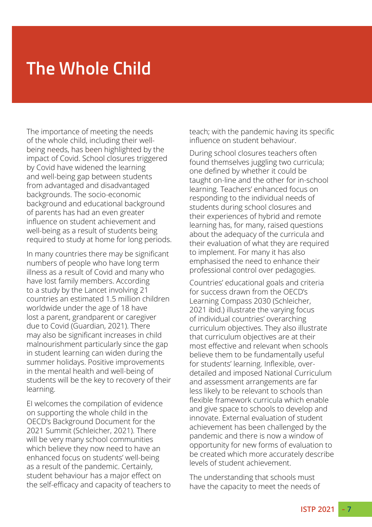## **The Whole Child**

The importance of meeting the needs of the whole child, including their wellbeing needs, has been highlighted by the impact of Covid. School closures triggered by Covid have widened the learning and well-being gap between students from advantaged and disadvantaged backgrounds. The socio-economic background and educational background of parents has had an even greater influence on student achievement and well-being as a result of students being required to study at home for long periods.

In many countries there may be significant numbers of people who have long term illness as a result of Covid and many who have lost family members. According to a study by the Lancet involving 21 countries an estimated 1.5 million children worldwide under the age of 18 have lost a parent, grandparent or caregiver due to Covid (Guardian, 2021). There may also be significant increases in child malnourishment particularly since the gap in student learning can widen during the summer holidays. Positive improvements in the mental health and well-being of students will be the key to recovery of their learning.

EI welcomes the compilation of evidence on supporting the whole child in the OECD's Background Document for the 2021 Summit (Schleicher, 2021). There will be very many school communities which believe they now need to have an enhanced focus on students' well-being as a result of the pandemic. Certainly, student behaviour has a major effect on the self-efficacy and capacity of teachers to teach; with the pandemic having its specific influence on student behaviour.

During school closures teachers often found themselves juggling two curricula; one defined by whether it could be taught on-line and the other for in-school learning. Teachers' enhanced focus on responding to the individual needs of students during school closures and their experiences of hybrid and remote learning has, for many, raised questions about the adequacy of the curricula and their evaluation of what they are required to implement. For many it has also emphasised the need to enhance their professional control over pedagogies.

Countries' educational goals and criteria for success drawn from the OECD's Learning Compass 2030 (Schleicher, 2021 ibid.) illustrate the varying focus of individual countries' overarching curriculum objectives. They also illustrate that curriculum objectives are at their most effective and relevant when schools believe them to be fundamentally useful for students' learning. Inflexible, overdetailed and imposed National Curriculum and assessment arrangements are far less likely to be relevant to schools than flexible framework curricula which enable and give space to schools to develop and innovate. External evaluation of student achievement has been challenged by the pandemic and there is now a window of opportunity for new forms of evaluation to be created which more accurately describe levels of student achievement.

The understanding that schools must have the capacity to meet the needs of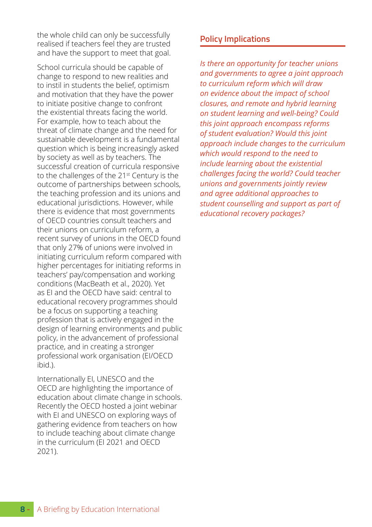the whole child can only be successfully realised if teachers feel they are trusted and have the support to meet that goal.

School curricula should be capable of change to respond to new realities and to instil in students the belief, optimism and motivation that they have the power to initiate positive change to confront the existential threats facing the world. For example, how to teach about the threat of climate change and the need for sustainable development is a fundamental question which is being increasingly asked by society as well as by teachers. The successful creation of curricula responsive to the challenges of the 21<sup>st</sup> Century is the outcome of partnerships between schools, the teaching profession and its unions and educational jurisdictions. However, while there is evidence that most governments of OECD countries consult teachers and their unions on curriculum reform, a recent survey of unions in the OECD found that only 27% of unions were involved in initiating curriculum reform compared with higher percentages for initiating reforms in teachers' pay/compensation and working conditions (MacBeath et al., 2020). Yet as EI and the OECD have said: central to educational recovery programmes should be a focus on supporting a teaching profession that is actively engaged in the design of learning environments and public policy, in the advancement of professional practice, and in creating a stronger professional work organisation (EI/OECD ibid.).

Internationally EI, UNESCO and the OECD are highlighting the importance of education about climate change in schools. Recently the OECD hosted a joint webinar with EI and UNESCO on exploring ways of gathering evidence from teachers on how to include teaching about climate change in the curriculum (EI 2021 and OECD 2021).

#### **Policy Implications**

*Is there an opportunity for teacher unions and governments to agree a joint approach to curriculum reform which will draw on evidence about the impact of school closures, and remote and hybrid learning on student learning and well-being? Could this joint approach encompass reforms of student evaluation? Would this joint approach include changes to the curriculum which would respond to the need to include learning about the existential challenges facing the world? Could teacher unions and governments jointly review and agree additional approaches to student counselling and support as part of educational recovery packages?*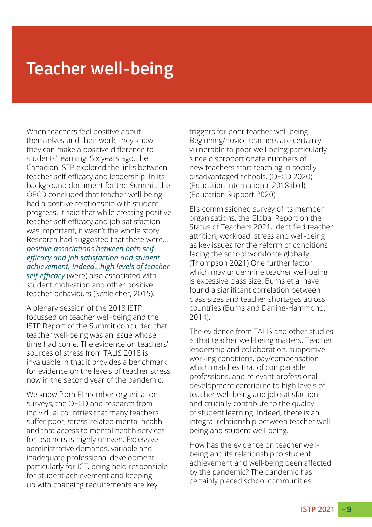## **Teacher well-being**

When teachers feel positive about themselves and their work, they know they can make a positive difference to students' learning. Six years ago, the Canadian ISTP explored the links between teacher self-efficacy and leadership. In its background document for the Summit, the OECD concluded that teacher well-being had a positive relationship with student progress. It said that while creating positive teacher self-efficacy and job satisfaction was important, it wasn't the whole story. Research had suggested that there were… *positive associations between both selfefficacy and job satisfaction and student achievement. Indeed…high levels of teacher self-efficacy* (were) also associated with student motivation and other positive teacher behaviours (Schleicher, 2015).

A plenary session of the 2018 ISTP focussed on teacher well-being and the ISTP Report of the Summit concluded that teacher well-being was an issue whose time had come. The evidence on teachers' sources of stress from TALIS 2018 is invaluable in that it provides a benchmark for evidence on the levels of teacher stress now in the second year of the pandemic.

We know from EI member organisation surveys, the OECD and research from individual countries that many teachers suffer poor, stress-related mental health and that access to mental health services for teachers is highly uneven. Excessive administrative demands, variable and inadequate professional development particularly for ICT, being held responsible for student achievement and keeping up with changing requirements are key

triggers for poor teacher well-being. Beginning/novice teachers are certainly vulnerable to poor well-being particularly since disproportionate numbers of new teachers start teaching in socially disadvantaged schools. (OECD 2020), (Education International 2018 ibid), (Education Support 2020)

EI's commissioned survey of its member organisations, the Global Report on the Status of Teachers 2021, identified teacher attrition, workload, stress and well-being as key issues for the reform of conditions facing the school workforce globally. (Thompson 2021) One further factor which may undermine teacher well-being is excessive class size. Burns et al have found a significant correlation between class sizes and teacher shortages across countries (Burns and Darling-Hammond, 2014).

The evidence from TALIS and other studies is that teacher well-being matters. Teacher leadership and collaboration, supportive working conditions, pay/compensation which matches that of comparable professions, and relevant professional development contribute to high levels of teacher well-being and job satisfaction and crucially contribute to the quality of student learning. Indeed, there is an integral relationship between teacher wellbeing and student well-being.

How has the evidence on teacher wellbeing and its relationship to student achievement and well-being been affected by the pandemic? The pandemic has certainly placed school communities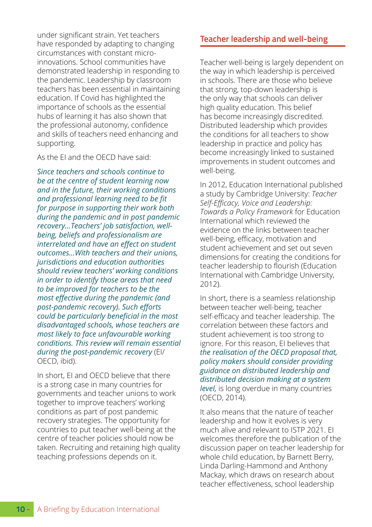under significant strain. Yet teachers have responded by adapting to changing circumstances with constant microinnovations. School communities have demonstrated leadership in responding to the pandemic. Leadership by classroom teachers has been essential in maintaining education. If Covid has highlighted the importance of schools as the essential hubs of learning it has also shown that the professional autonomy, confidence and skills of teachers need enhancing and supporting.

As the EI and the OECD have said:

*Since teachers and schools continue to be at the centre of student learning now and in the future, their working conditions and professional learning need to be fit for purpose in supporting their work both during the pandemic and in post pandemic recovery…Teachers' job satisfaction, wellbeing, beliefs and professionalism are interrelated and have an effect on student outcomes…With teachers and their unions, jurisdictions and education authorities should review teachers' working conditions in order to identify those areas that need to be improved for teachers to be the most effective during the pandemic (and post-pandemic recovery). Such efforts could be particularly beneficial in the most disadvantaged schools, whose teachers are most likely to face unfavourable working conditions. This review will remain essential during the post-pandemic recovery* (EI/ OECD, ibid).

In short, EI and OECD believe that there is a strong case in many countries for governments and teacher unions to work together to improve teachers' working conditions as part of post pandemic recovery strategies. The opportunity for countries to put teacher well-being at the centre of teacher policies should now be taken. Recruiting and retaining high quality teaching professions depends on it.

### **Teacher leadership and well-being**

Teacher well-being is largely dependent on the way in which leadership is perceived in schools. There are those who believe that strong, top-down leadership is the only way that schools can deliver high quality education. This belief has become increasingly discredited. Distributed leadership which provides the conditions for all teachers to show leadership in practice and policy has become increasingly linked to sustained improvements in student outcomes and well-being.

In 2012, Education International published a study by Cambridge University: *Teacher Self-Efficacy, Voice and Leadership: Towards a Policy Framework* for Education International which reviewed the evidence on the links between teacher well-being, efficacy, motivation and student achievement and set out seven dimensions for creating the conditions for teacher leadership to flourish (Education International with Cambridge University, 2012).

In short, there is a seamless relationship between teacher well-being, teacher self-efficacy and teacher leadership. The correlation between these factors and student achievement is too strong to ignore. For this reason, EI believes that *the realisation of the OECD proposal that, policy makers should consider providing guidance on distributed leadership and distributed decision making at a system level,* is long overdue in many countries (OECD, 2014).

It also means that the nature of teacher leadership and how it evolves is very much alive and relevant to ISTP 2021. EI welcomes therefore the publication of the discussion paper on teacher leadership for whole child education, by Barnett Berry, Linda Darling-Hammond and Anthony Mackay, which draws on research about teacher effectiveness, school leadership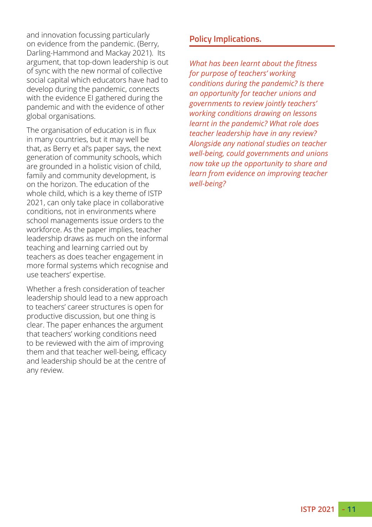and innovation focussing particularly on evidence from the pandemic. (Berry, Darling-Hammond and Mackay 2021). Its argument, that top-down leadership is out of sync with the new normal of collective social capital which educators have had to develop during the pandemic, connects with the evidence El gathered during the pandemic and with the evidence of other global organisations.

The organisation of education is in flux in many countries, but it may well be that, as Berry et al's paper says, the next generation of community schools, which are grounded in a holistic vision of child, family and community development, is on the horizon. The education of the whole child, which is a key theme of ISTP 2021, can only take place in collaborative conditions, not in environments where school managements issue orders to the workforce. As the paper implies, teacher leadership draws as much on the informal teaching and learning carried out by teachers as does teacher engagement in more formal systems which recognise and use teachers' expertise.

Whether a fresh consideration of teacher leadership should lead to a new approach to teachers' career structures is open for productive discussion, but one thing is clear. The paper enhances the argument that teachers' working conditions need to be reviewed with the aim of improving them and that teacher well-being, efficacy and leadership should be at the centre of any review.

#### **Policy Implications.**

*What has been learnt about the fitness for purpose of teachers' working conditions during the pandemic? Is there an opportunity for teacher unions and governments to review jointly teachers' working conditions drawing on lessons learnt in the pandemic? What role does teacher leadership have in any review? Alongside any national studies on teacher well-being, could governments and unions now take up the opportunity to share and learn from evidence on improving teacher well-being?*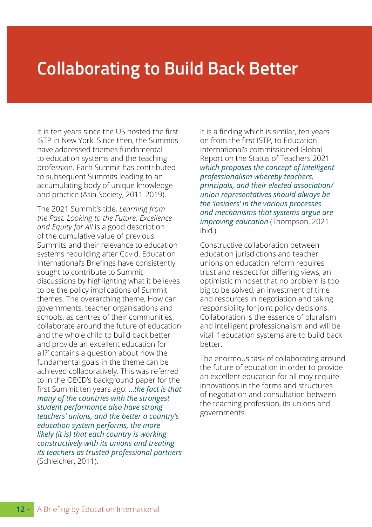### **Collaborating to Build Back Better**

It is ten years since the US hosted the first ISTP in New York. Since then, the Summits have addressed themes fundamental to education systems and the teaching profession. Each Summit has contributed to subsequent Summits leading to an accumulating body of unique knowledge and practice (Asia Society, 2011-2019).

The 2021 Summit's title, *Learning from the Past, Looking to the Future: Excellence and Equity for All* is a good description of the cumulative value of previous Summits and their relevance to education systems rebuilding after Covid. Education International's Briefings have consistently sought to contribute to Summit discussions by highlighting what it believes to be the policy implications of Summit themes. The overarching theme, How can governments, teacher organisations and schools, as centres of their communities, collaborate around the future of education and the whole child to build back better and provide an excellent education for all?' contains a question about how the fundamental goals in the theme can be achieved collaboratively. This was referred to in the OECD's background paper for the first Summit ten years ago: …*the fact is that many of the countries with the strongest student performance also have strong teachers' unions, and the better a country's education system performs, the more likely (it is) that each country is working constructively with its unions and treating its teachers as trusted professional partners* (Schleicher, 2011).

It is a finding which is similar, ten years on from the first ISTP, to Education International's commissioned Global Report on the Status of Teachers 2021 *which proposes the concept of intelligent professionalism whereby teachers, principals, and their elected association/ union representatives should always be the 'insiders' in the various processes and mechanisms that systems argue are improving education* (Thompson, 2021 ibid.).

Constructive collaboration between education jurisdictions and teacher unions on education reform requires trust and respect for differing views, an optimistic mindset that no problem is too big to be solved, an investment of time and resources in negotiation and taking responsibility for joint policy decisions. Collaboration is the essence of pluralism and intelligent professionalism and will be vital if education systems are to build back better.

The enormous task of collaborating around the future of education in order to provide an excellent education for all may require innovations in the forms and structures of negotiation and consultation between the teaching profession, its unions and governments.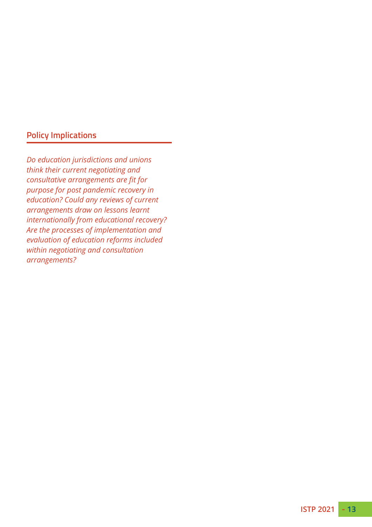### **Policy Implications**

*Do education jurisdictions and unions think their current negotiating and consultative arrangements are fit for purpose for post pandemic recovery in education? Could any reviews of current arrangements draw on lessons learnt internationally from educational recovery? Are the processes of implementation and evaluation of education reforms included within negotiating and consultation arrangements?*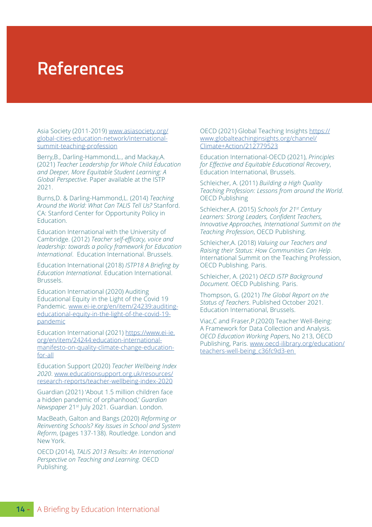### **References**

Asia Society (2011-2019) [www.asiasociety.org/](www.asiasociety.org/global-cities-education-network/international-summit-teaching-profession) [global-cities-education-network/international](www.asiasociety.org/global-cities-education-network/international-summit-teaching-profession)[summit-teaching-profession](www.asiasociety.org/global-cities-education-network/international-summit-teaching-profession)

Berry,B., Darling-Hammond,L., and Mackay,A. (2021) *Teacher Leadership for Whole Child Education and Deeper, More Equitable Student Learning: A Global Perspective*. Paper available at the ISTP 2021.

Burns,D. & Darling-Hammond,L. (2014) *Teaching Around the World: What Can TALIS Tell Us?* Stanford. CA: Stanford Center for Opportunity Policy in Education.

Education International with the University of Cambridge. (2012) *Teacher self-efficacy, voice and leadership: towards a policy framework for Education International*. Education International. Brussels.

Education International (2018) *ISTP18 A Briefing by Education International*. Education International. Brussels.

Education International (2020) Auditing Educational Equity in the Light of the Covid 19 Pandemic. [www.ei-ie.org/en/item/24239:auditing](www.ei-ie.org/en/item/24239:auditing-educational-equity-in-the-light-of-the-covid-19-pandemic)[educational-equity-in-the-light-of-the-covid-19](www.ei-ie.org/en/item/24239:auditing-educational-equity-in-the-light-of-the-covid-19-pandemic) [pandemic](www.ei-ie.org/en/item/24239:auditing-educational-equity-in-the-light-of-the-covid-19-pandemic)

Education International (2021) [https://www.ei-ie.](https://www.ei-ie.org/en/item/24244:education-international-manifesto-on-quality-climate-change-education-for-all) [org/en/item/24244:education-international](https://www.ei-ie.org/en/item/24244:education-international-manifesto-on-quality-climate-change-education-for-all)[manifesto-on-quality-climate-change-education](https://www.ei-ie.org/en/item/24244:education-international-manifesto-on-quality-climate-change-education-for-all)[for-all](https://www.ei-ie.org/en/item/24244:education-international-manifesto-on-quality-climate-change-education-for-all)

Education Support (2020) *Teacher Wellbeing Index 2020*. [www.educationsupport.org.uk/resources/](www.educationsupport.org.uk/resources/research-reports/teacher-wellbeing-index-2020) [research-reports/teacher-wellbeing-index-2020](www.educationsupport.org.uk/resources/research-reports/teacher-wellbeing-index-2020)

Guardian (2021) 'About 1.5 million children face a hidden pandemic of orphanhood,' *Guardian Newspaper* 21st July 2021. Guardian. London.

MacBeath, Galton and Bangs (2020) *Reforming or Reinventing Schools? Key Issues in School and System Reform*, (pages 137-138). Routledge. London and New York.

OECD (2014), *TALIS 2013 Results: An International Perspective on Teaching and Learning*. OECD Publishing.

OECD (2021) Global Teaching Insights [https://](https://www.globalteachinginsights.org/channel/Climate+Action/212779523) [www.globalteachinginsights.org/channel/](https://www.globalteachinginsights.org/channel/Climate+Action/212779523) [Climate+Action/212779523](https://www.globalteachinginsights.org/channel/Climate+Action/212779523)

Education International-OECD (2021), *Principles for Effective and Equitable Educational Recovery*, Education International, Brussels.

Schleicher, A. (2011) *Building a High Quality Teaching Profession: Lessons from around the World*. OECD Publishing

Schleicher,A. (2015) *Schools for 21st Century Learners: Strong Leaders, Confident Teachers, Innovative Approaches, International Summit on the Teaching Profession*, OECD Publishing.

Schleicher,A. (2018) *Valuing our Teachers and Raising their Status: How Communities Can Help*. International Summit on the Teaching Profession, OECD Publishing. Paris.

Schleicher, A. (2021) *OECD ISTP Background Document*. OECD Publishing. Paris.

Thompson, G. (2021) *The Global Report on the Status of Teachers*. Published October 2021. Education International, Brussels.

Viac,C and Fraser,P.(2020) Teacher Well-Being: A Framework for Data Collection and Analysis. *OECD Education Working Papers*, No 213, OECD Publishing, Paris. [www.oecd-ilibrary.org/education/](www.oecd-ilibrary.org/education/teachers-well-being_c36fc9d3-en) [teachers-well-being\\_c36fc9d3-en](www.oecd-ilibrary.org/education/teachers-well-being_c36fc9d3-en)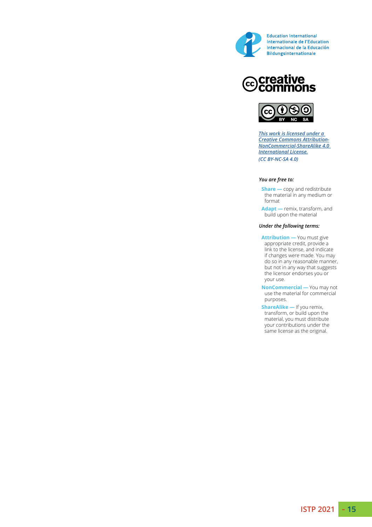

## **@Creative<br>©Commons**



*This work is licensed under a Creative Commons Attribution-NonCommercial-ShareAlike 4.0 International License. (CC BY-NC-SA 4.0)*

#### *You are free to:*

 **Share —** copy and redistribute the material in any medium or format

 **Adapt —** remix, transform, and build upon the material

#### *Under the following terms:*

 **Attribution —** You must give appropriate credit, provide a link to the license, and indicate if changes were made. You may do so in any reasonable manner, but not in any way that suggests the licensor endorses you or your use.

 **NonCommercial —** You may not use the material for commercial purposes.

 **ShareAlike —** If you remix, transform, or build upon the material, you must distribute your contributions under the same license as the original.